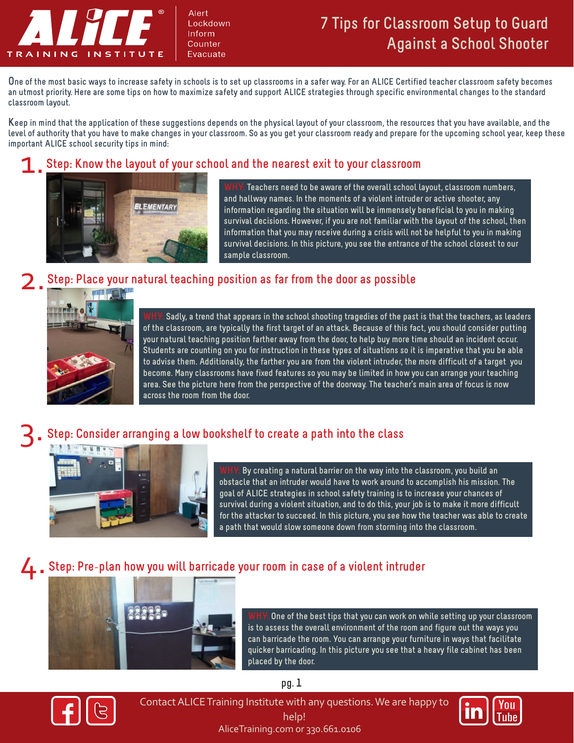

Alert Lockdown Inform Counter Evacuate

# **7 Tips for Classroom Setup to Guard Against a School Shooter**

**One of the most basic ways to increase safety in schools is to set up classrooms in a safer way. For an ALICE Certified teacher classroom safety becomes an utmost priority. Here are some tips on how to maximize safety and support ALICE strategies through specific environmental changes to the standard classroom layout.** 

**Keep in mind that the application of these suggestions depends on the physical layout of your classroom, the resources that you have available, and the level of authority that you have to make changes in your classroom. So as you get your classroom ready and prepare for the upcoming school year, keep these important ALICE school security tips in mind:**

### $\overline{1}$ . **Step: Know the layout of your school and the nearest exit to your classroom**



Teachers need to be aware of the overall school layout, classroom numbers, **and hallway names. In the moments of a violent intruder or active shooter, any information regarding the situation will be immensely beneficial to you in making survival decisions. However, if you are not familiar with the layout of the school, then information that you may receive during a crisis will not be helpful to you in making survival decisions. In this picture, you see the entrance of the school closest to our sample classroom.**

### 2. **Step: Place your natural teaching position as far from the door as possible**



**WHY: Sadly, a trend that appears in the school shooting tragedies of the past is that the teachers, as leaders of the classroom, are typically the first target of an attack. Because of this fact, you should consider putting your natural teaching position farther away from the door, to help buy more time should an incident occur. Students are counting on you for instruction in these types of situations so it is imperative that you be able to advise them. Additionally, the farther you are from the violent intruder, the more difficult of a target you become. Many classrooms have fixed features so you may be limited in how you can arrange your teaching area. See the picture here from the perspective of the doorway. The teacher's main area of focus is now across the room from the door.**

3.

# **Step: Consider arranging a low bookshelf to create a path into the class**



**WHY: By creating a natural barrier on the way into the classroom, you build an obstacle that an intruder would have to work around to accomplish his mission. The goal of ALICE strategies in school safety training is to increase your chances of survival during a violent situation, and to do this, your job is to make it more difficult for the attacker to succeed. In this picture, you see how the teacher was able to create a path that would slow someone down from storming into the classroom.**

## 4. **Step: Pre**-**plan how you will barricade your room in case of a violent intruder**



**WHY: One of the best tips that you can work on while setting up your classroom is to assess the overall environment of the room and figure out the ways you can barricade the room. You can arrange your furniture in ways that facilitate quicker barricading. In this picture you see that a heavy file cabinet has been placed by the door.**



AliceTraining.com or 330.661.0106 Contact ALICE Training Institute with any questions. We are happy to help!



**pg. 1**